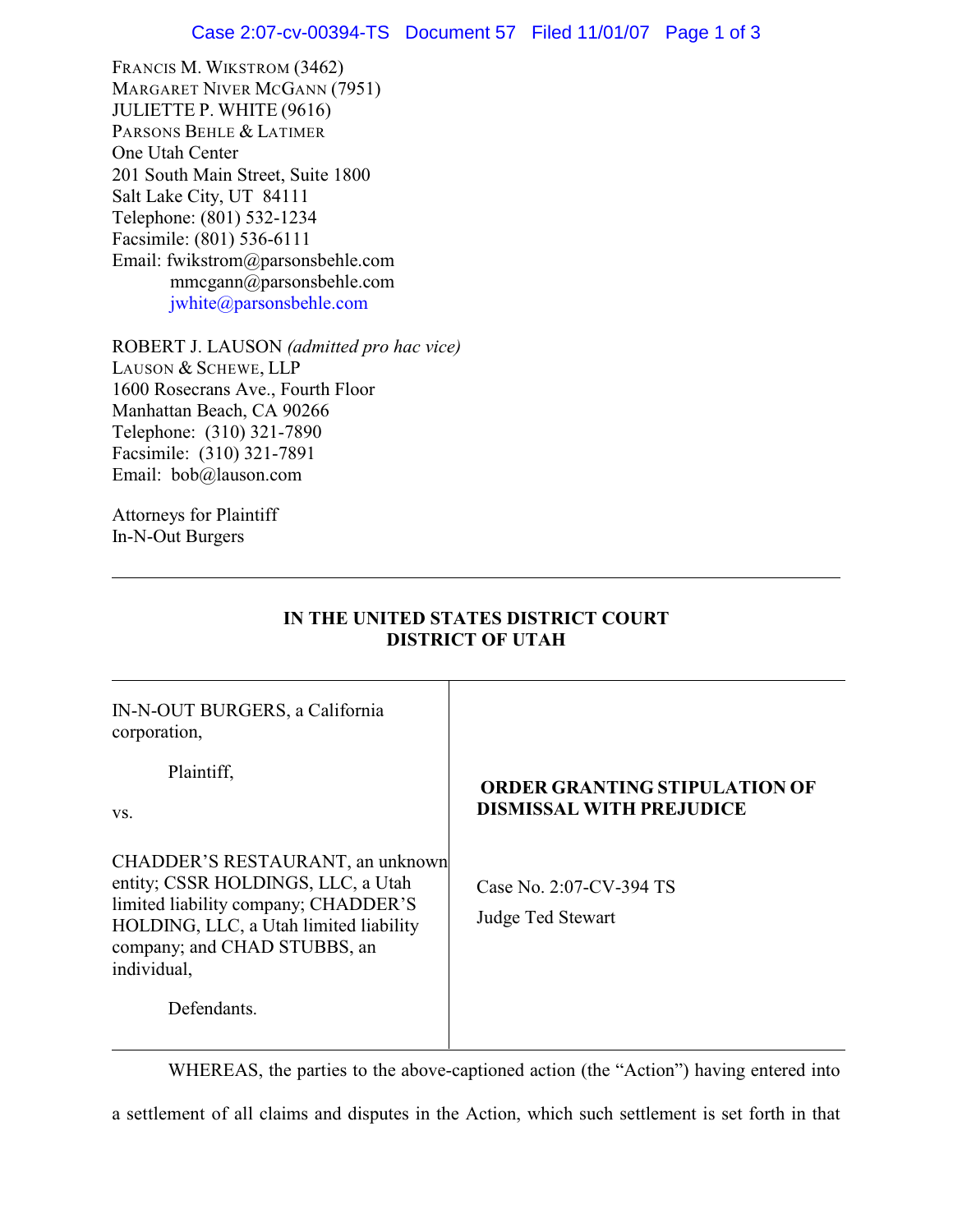FRANCIS M. WIKSTROM (3462) MARGARET NIVER MCGANN (7951) JULIETTE P. WHITE (9616) PARSONS BEHLE & LATIMER One Utah Center 201 South Main Street, Suite 1800 Salt Lake City, UT 84111 Telephone: (801) 532-1234 Facsimile: (801) 536-6111 Email: fwikstrom@parsonsbehle.com mmcgann@parsonsbehle.com [jwhite@parsonsbehle.com](mailto:jwhite@parsonsbehle.com)

ROBERT J. LAUSON *(admitted pro hac vice)* LAUSON & SCHEWE, LLP 1600 Rosecrans Ave., Fourth Floor Manhattan Beach, CA 90266 Telephone: (310) 321-7890 Facsimile: (310) 321-7891 Email: bob@lauson.com

Attorneys for Plaintiff In-N-Out Burgers

| IN-N-OUT BURGERS, a California<br>corporation,                                                                                                                                                          |                                                                         |
|---------------------------------------------------------------------------------------------------------------------------------------------------------------------------------------------------------|-------------------------------------------------------------------------|
| Plaintiff,<br>VS.                                                                                                                                                                                       | <b>ORDER GRANTING STIPULATION OF</b><br><b>DISMISSAL WITH PREJUDICE</b> |
| CHADDER'S RESTAURANT, an unknown<br>entity; CSSR HOLDINGS, LLC, a Utah<br>limited liability company; CHADDER'S<br>HOLDING, LLC, a Utah limited liability<br>company; and CHAD STUBBS, an<br>individual, | Case No. 2:07-CV-394 TS<br>Judge Ted Stewart                            |
| Defendants.                                                                                                                                                                                             |                                                                         |

**IN THE UNITED STATES DISTRICT COURT DISTRICT OF UTAH**

WHEREAS, the parties to the above-captioned action (the "Action") having entered into

a settlement of all claims and disputes in the Action, which such settlement is set forth in that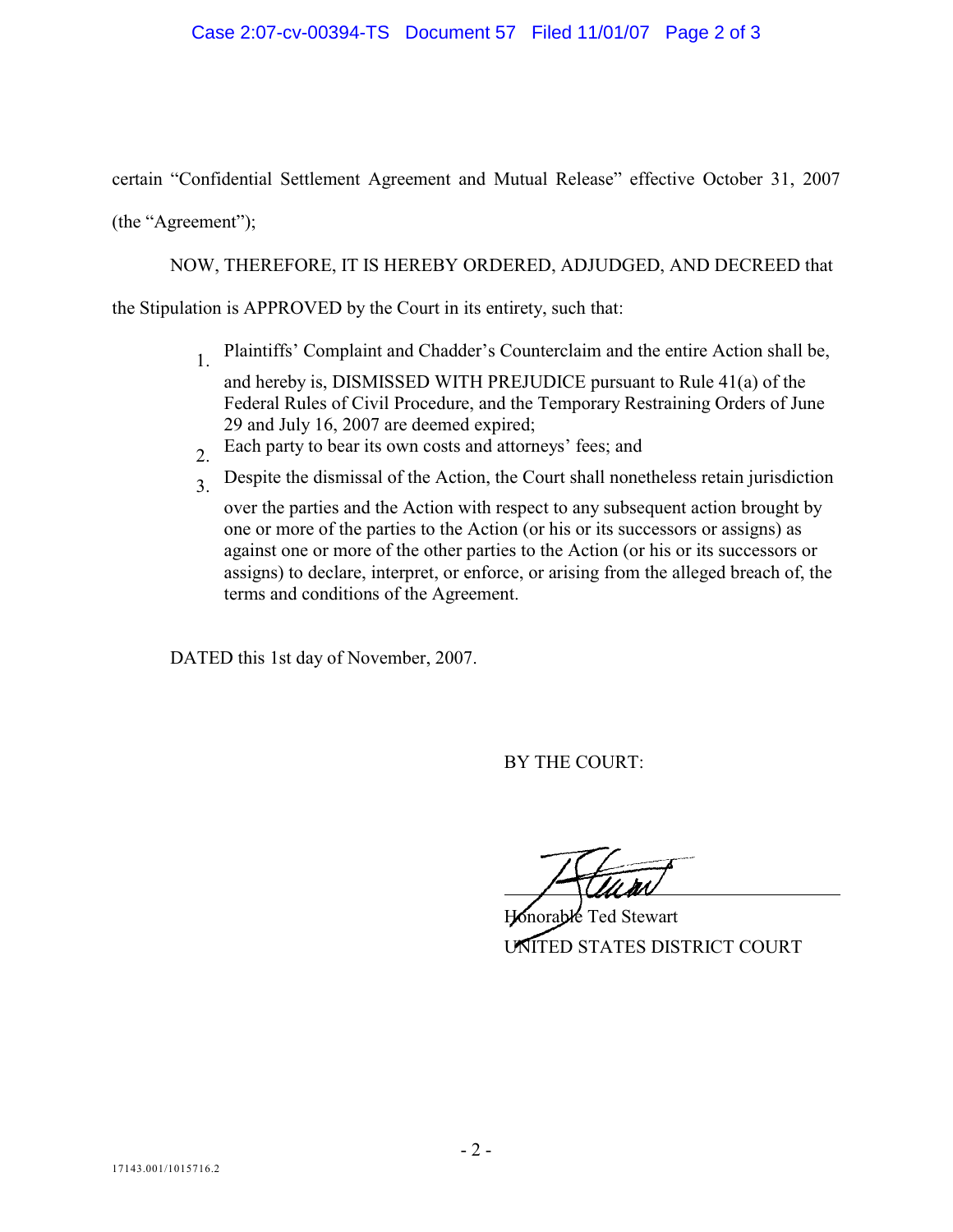## Case 2:07-cv-00394-TS Document 57 Filed 11/01/07 Page 2 of 3

certain "Confidential Settlement Agreement and Mutual Release" effective October 31, 2007

(the "Agreement");

NOW, THEREFORE, IT IS HEREBY ORDERED, ADJUDGED, AND DECREED that

the Stipulation is APPROVED by the Court in its entirety, such that:

- 1. Plaintiffs' Complaint and Chadder's Counterclaim and the entire Action shall be, and hereby is, DISMISSED WITH PREJUDICE pursuant to Rule 41(a) of the Federal Rules of Civil Procedure, and the Temporary Restraining Orders of June 29 and July 16, 2007 are deemed expired;
- 2. Each party to bear its own costs and attorneys' fees; and
- 3. Despite the dismissal of the Action, the Court shall nonetheless retain jurisdiction
	- over the parties and the Action with respect to any subsequent action brought by one or more of the parties to the Action (or his or its successors or assigns) as against one or more of the other parties to the Action (or his or its successors or assigns) to declare, interpret, or enforce, or arising from the alleged breach of, the terms and conditions of the Agreement.

DATED this 1st day of November, 2007.

BY THE COURT:

Snorable Ted Stewart UNITED STATES DISTRICT COURT